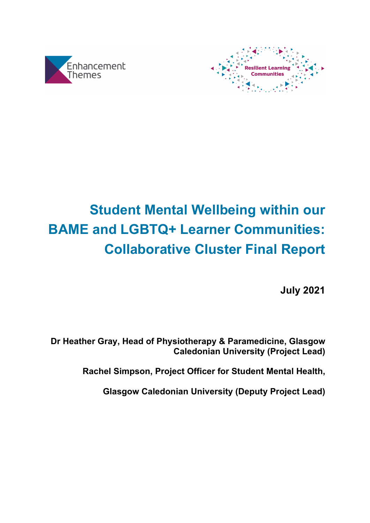



# **Student Mental Wellbeing within our BAME and LGBTQ+ Learner Communities: Collaborative Cluster Final Report**

**July 2021**

**Dr Heather Gray, Head of Physiotherapy & Paramedicine, Glasgow Caledonian University (Project Lead)**

**Rachel Simpson, Project Officer for Student Mental Health,** 

**Glasgow Caledonian University (Deputy Project Lead)**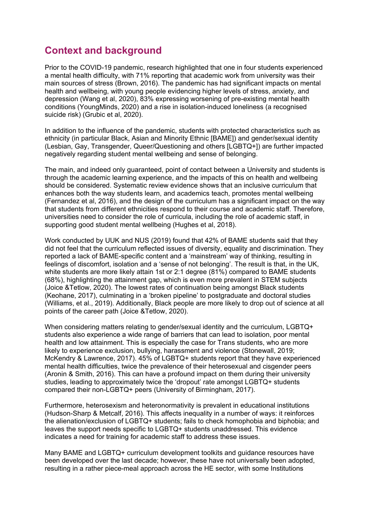# **Context and background**

Prior to the COVID-19 pandemic, research highlighted that one in four students experienced a mental health difficulty, with 71% reporting that academic work from university was their main sources of stress (Brown, 2016). The pandemic has had significant impacts on mental health and wellbeing, with young people evidencing higher levels of stress, anxiety, and depression (Wang et al, 2020), 83% expressing worsening of pre-existing mental health conditions (YoungMinds, 2020) and a rise in isolation-induced loneliness (a recognised suicide risk) (Grubic et al, 2020).

In addition to the influence of the pandemic, students with protected characteristics such as ethnicity (in particular Black, Asian and Minority Ethnic [BAME]) and gender/sexual identity (Lesbian, Gay, Transgender, Queer/Questioning and others [LGBTQ+]) are further impacted negatively regarding student mental wellbeing and sense of belonging.

The main, and indeed only guaranteed, point of contact between a University and students is through the academic learning experience, and the impacts of this on health and wellbeing should be considered. Systematic review evidence shows that an inclusive curriculum that enhances both the way students learn, and academics teach, promotes mental wellbeing (Fernandez et al, 2016), and the design of the curriculum has a significant impact on the way that students from different ethnicities respond to their course and academic staff. Therefore, universities need to consider the role of curricula, including the role of academic staff, in supporting good student mental wellbeing (Hughes et al, 2018).

Work conducted by UUK and NUS (2019) found that 42% of BAME students said that they did not feel that the curriculum reflected issues of diversity, equality and discrimination. They reported a lack of BAME-specific content and a 'mainstream' way of thinking, resulting in feelings of discomfort, isolation and a 'sense of not belonging'. The result is that, in the UK, white students are more likely attain 1st or 2:1 degree (81%) compared to BAME students (68%), highlighting the attainment gap, which is even more prevalent in STEM subjects (Joice &Tetlow, 2020). The lowest rates of continuation being amongst Black students (Keohane, 2017), culminating in a 'broken pipeline' to postgraduate and doctoral studies (Williams, et al., 2019). Additionally, Black people are more likely to drop out of science at all points of the career path (Joice &Tetlow, 2020).

When considering matters relating to gender/sexual identity and the curriculum, LGBTQ+ students also experience a wide range of barriers that can lead to isolation, poor mental health and low attainment. This is especially the case for Trans students, who are more likely to experience exclusion, bullying, harassment and violence (Stonewall, 2019; McKendry & Lawrence, 2017). 45% of LGBTQ+ students report that they have experienced mental health difficulties, twice the prevalence of their heterosexual and cisgender peers (Aronin & Smith, 2016). This can have a profound impact on them during their university studies, leading to approximately twice the 'dropout' rate amongst LGBTQ+ students compared their non-LGBTQ+ peers (University of Birmingham, 2017).

Furthermore, heterosexism and heteronormativity is prevalent in educational institutions (Hudson-Sharp & Metcalf, 2016). This affects inequality in a number of ways: it reinforces the alienation/exclusion of LGBTQ+ students; fails to check homophobia and biphobia; and leaves the support needs specific to LGBTQ+ students unaddressed. This evidence indicates a need for training for academic staff to address these issues.

Many BAME and LGBTQ+ curriculum development toolkits and guidance resources have been developed over the last decade; however, these have not universally been adopted, resulting in a rather piece-meal approach across the HE sector, with some Institutions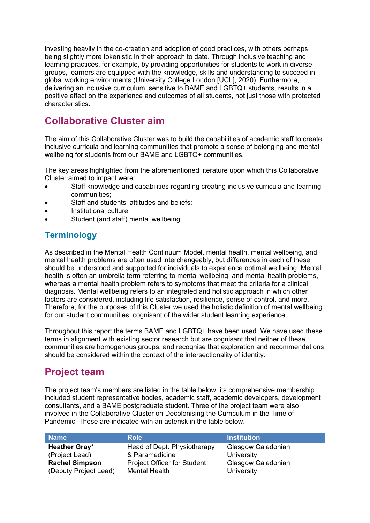investing heavily in the co-creation and adoption of good practices, with others perhaps being slightly more tokenistic in their approach to date. Through inclusive teaching and learning practices, for example, by providing opportunities for students to work in diverse groups, learners are equipped with the knowledge, skills and understanding to succeed in global working environments (University College London [UCL], 2020). Furthermore, delivering an inclusive curriculum, sensitive to BAME and LGBTQ+ students, results in a positive effect on the experience and outcomes of all students, not just those with protected characteristics.

# **Collaborative Cluster aim**

The aim of this Collaborative Cluster was to build the capabilities of academic staff to create inclusive curricula and learning communities that promote a sense of belonging and mental wellbeing for students from our BAME and LGBTQ+ communities.

The key areas highlighted from the aforementioned literature upon which this Collaborative Cluster aimed to impact were:

- Staff knowledge and capabilities regarding creating inclusive curricula and learning communities;
- Staff and students' attitudes and beliefs;
- Institutional culture;
- Student (and staff) mental wellbeing.

### **Terminology**

As described in the Mental Health Continuum Model, mental health, mental wellbeing, and mental health problems are often used interchangeably, but differences in each of these should be understood and supported for individuals to experience optimal wellbeing. Mental health is often an umbrella term referring to mental wellbeing, and mental health problems, whereas a mental health problem refers to symptoms that meet the criteria for a clinical diagnosis. Mental wellbeing refers to an integrated and holistic approach in which other factors are considered, including life satisfaction, resilience, sense of control, and more. Therefore, for the purposes of this Cluster we used the holistic definition of mental wellbeing for our student communities, cognisant of the wider student learning experience.

Throughout this report the terms BAME and LGBTQ+ have been used. We have used these terms in alignment with existing sector research but are cognisant that neither of these communities are homogenous groups, and recognise that exploration and recommendations should be considered within the context of the intersectionality of identity.

# **Project team**

The project team's members are listed in the table below; its comprehensive membership included student representative bodies, academic staff, academic developers, development consultants, and a BAME postgraduate student. Three of the project team were also involved in the Collaborative Cluster on Decolonising the Curriculum in the Time of Pandemic. These are indicated with an asterisk in the table below.

| l Name                             | <b>Role</b>                        | <b>Institution</b> |  |
|------------------------------------|------------------------------------|--------------------|--|
| <b>Heather Gray*</b>               | Head of Dept. Physiotherapy        | Glasgow Caledonian |  |
| (Project Lead)                     | & Paramedicine                     | University         |  |
| <b>Rachel Simpson</b>              | <b>Project Officer for Student</b> | Glasgow Caledonian |  |
| <sup>(</sup> (Deputy Project Lead) | Mental Health                      | University         |  |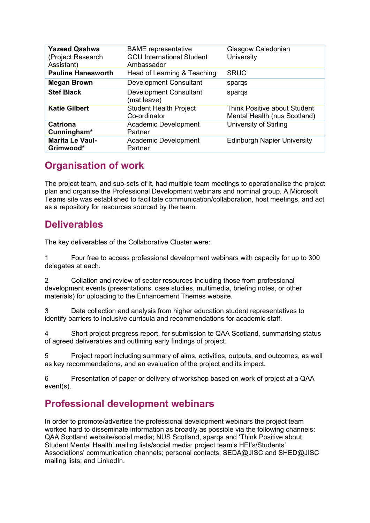| <b>Yazeed Qashwa</b><br>(Project Research<br>Assistant) | <b>BAME</b> representative<br><b>GCU International Student</b><br>Ambassador | Glasgow Caledonian<br>University                                    |
|---------------------------------------------------------|------------------------------------------------------------------------------|---------------------------------------------------------------------|
| <b>Pauline Hanesworth</b>                               | Head of Learning & Teaching                                                  | <b>SRUC</b>                                                         |
| <b>Megan Brown</b>                                      | <b>Development Consultant</b>                                                | spargs                                                              |
| <b>Stef Black</b>                                       | <b>Development Consultant</b><br>(mat leave)                                 | spargs                                                              |
| <b>Katie Gilbert</b>                                    | <b>Student Health Project</b><br>Co-ordinator                                | <b>Think Positive about Student</b><br>Mental Health (nus Scotland) |
| <b>Catriona</b><br>Cunningham*                          | Academic Development<br>Partner                                              | University of Stirling                                              |
| <b>Marita Le Vaul-</b><br>Grimwood*                     | Academic Development<br>Partner                                              | <b>Edinburgh Napier University</b>                                  |

# **Organisation of work**

The project team, and sub-sets of it, had multiple team meetings to operationalise the project plan and organise the Professional Development webinars and nominal group. A Microsoft Teams site was established to facilitate communication/collaboration, host meetings, and act as a repository for resources sourced by the team.

# **Deliverables**

The key deliverables of the Collaborative Cluster were:

1 Four free to access professional development webinars with capacity for up to 300 delegates at each.

2 Collation and review of sector resources including those from professional development events (presentations, case studies, multimedia, briefing notes, or other materials) for uploading to the Enhancement Themes website.

3 Data collection and analysis from higher education student representatives to identify barriers to inclusive curricula and recommendations for academic staff.

4 Short project progress report, for submission to QAA Scotland, summarising status of agreed deliverables and outlining early findings of project.

5 Project report including summary of aims, activities, outputs, and outcomes, as well as key recommendations, and an evaluation of the project and its impact.

6 Presentation of paper or delivery of workshop based on work of project at a QAA event(s).

# **Professional development webinars**

In order to promote/advertise the professional development webinars the project team worked hard to disseminate information as broadly as possible via the following channels: QAA Scotland website/social media; NUS Scotland, sparqs and 'Think Positive about Student Mental Health' mailing lists/social media; project team's HEI's/Students' Associations' communication channels; personal contacts; SEDA@JISC and SHED@JISC mailing lists; and LinkedIn.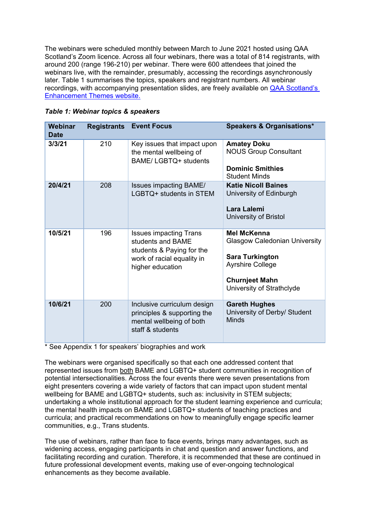The webinars were scheduled monthly between March to June 2021 hosted using QAA Scotland's Zoom licence. Across all four webinars, there was a total of 814 registrants, with around 200 (range 196-210) per webinar. There were 600 attendees that joined the webinars live, with the remainder, presumably, accessing the recordings asynchronously later. Table 1 summarises the topics, speakers and registrant numbers. All webinar recordings, with accompanying presentation slides, are freely available on [QAA Scotland's](https://www.enhancementthemes.ac.uk/resilient-learning-communities/collaborative-clusters/student-mental-wellbeing-within-our-bame-and-lgbtq-learner-communities)  [Enhancement Themes website.](https://www.enhancementthemes.ac.uk/resilient-learning-communities/collaborative-clusters/student-mental-wellbeing-within-our-bame-and-lgbtq-learner-communities)

| <b>Webinar</b><br><b>Date</b> | <b>Registrants</b> | <b>Event Focus</b>                                                                                                                | <b>Speakers &amp; Organisations*</b>                                                                                                                                  |  |
|-------------------------------|--------------------|-----------------------------------------------------------------------------------------------------------------------------------|-----------------------------------------------------------------------------------------------------------------------------------------------------------------------|--|
| 3/3/21                        | 210                | Key issues that impact upon<br>the mental wellbeing of<br>BAME/LGBTQ+ students                                                    | <b>Amatey Doku</b><br><b>NOUS Group Consultant</b><br><b>Dominic Smithies</b><br><b>Student Minds</b>                                                                 |  |
| 20/4/21                       | 208                | <b>Issues impacting BAME/</b><br>LGBTQ+ students in STEM                                                                          | <b>Katie Nicoll Baines</b><br>University of Edinburgh<br>Lara Lalemi<br>University of Bristol                                                                         |  |
| 10/5/21                       | 196                | <b>Issues impacting Trans</b><br>students and BAME<br>students & Paying for the<br>work of racial equality in<br>higher education | <b>Mel McKenna</b><br><b>Glasgow Caledonian University</b><br><b>Sara Turkington</b><br><b>Ayrshire College</b><br><b>Churnjeet Mahn</b><br>University of Strathclyde |  |
| 10/6/21                       | 200                | Inclusive curriculum design<br>principles & supporting the<br>mental wellbeing of both<br>staff & students                        | <b>Gareth Hughes</b><br>University of Derby/ Student<br>Minds                                                                                                         |  |

\* See Appendix 1 for speakers' biographies and work

The webinars were organised specifically so that each one addressed content that represented issues from both BAME and LGBTQ+ student communities in recognition of potential intersectionalities. Across the four events there were seven presentations from eight presenters covering a wide variety of factors that can impact upon student mental wellbeing for BAME and LGBTQ+ students, such as: inclusivity in STEM subjects; undertaking a whole institutional approach for the student learning experience and curricula; the mental health impacts on BAME and LGBTQ+ students of teaching practices and curricula; and practical recommendations on how to meaningfully engage specific learner communities, e.g., Trans students.

The use of webinars, rather than face to face events, brings many advantages, such as widening access, engaging participants in chat and question and answer functions, and facilitating recording and curation. Therefore, it is recommended that these are continued in future professional development events, making use of ever-ongoing technological enhancements as they become available.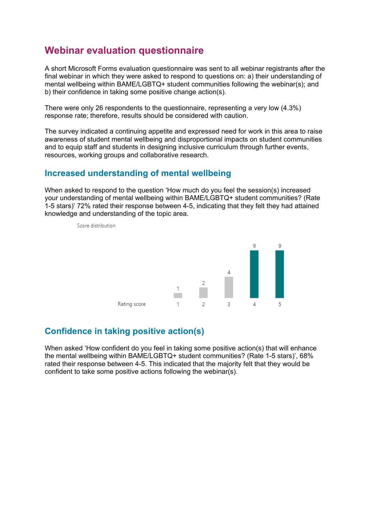# **Webinar evaluation questionnaire**

A short Microsoft Forms evaluation questionnaire was sent to all webinar registrants after the final webinar in which they were asked to respond to questions on: a) their understanding of mental wellbeing within BAME/LGBTQ+ student communities following the webinar(s); and b) their confidence in taking some positive change action(s).

There were only 26 respondents to the questionnaire, representing a very low (4.3%) response rate; therefore, results should be considered with caution.

The survey indicated a continuing appetite and expressed need for work in this area to raise awareness of student mental wellbeing and disproportional impacts on student communities and to equip staff and students in designing inclusive curriculum through further events, resources, working groups and collaborative research.

### **Increased understanding of mental wellbeing**

When asked to respond to the question 'How much do you feel the session(s) increased your understanding of mental wellbeing within BAME/LGBTQ+ student communities? (Rate 1-5 stars)' 72% rated their response between 4-5, indicating that they felt they had attained knowledge and understanding of the topic area.



Score distribution

### **Confidence in taking positive action(s)**

When asked 'How confident do you feel in taking some positive action(s) that will enhance the mental wellbeing within BAME/LGBTQ+ student communities? (Rate 1-5 stars)', 68% rated their response between 4-5. This indicated that the majority felt that they would be confident to take some positive actions following the webinar(s).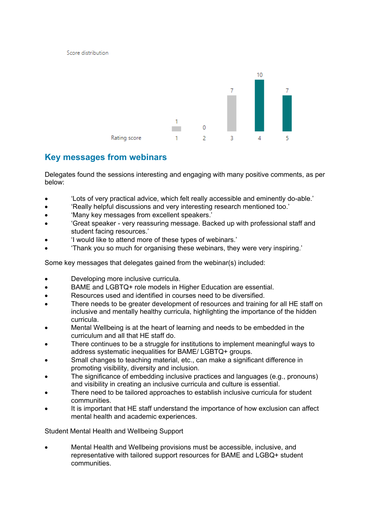Score distribution



### **Key messages from webinars**

Delegates found the sessions interesting and engaging with many positive comments, as per below:

- 'Lots of very practical advice, which felt really accessible and eminently do-able.'
- 'Really helpful discussions and very interesting research mentioned too.'
- 'Many key messages from excellent speakers.'
- 'Great speaker very reassuring message. Backed up with professional staff and student facing resources.'
- 'I would like to attend more of these types of webinars.'
- 'Thank you so much for organising these webinars, they were very inspiring.'

Some key messages that delegates gained from the webinar(s) included:

- Developing more inclusive curricula.
- BAME and LGBTQ+ role models in Higher Education are essential.
- Resources used and identified in courses need to be diversified.
- There needs to be greater development of resources and training for all HE staff on inclusive and mentally healthy curricula, highlighting the importance of the hidden curricula.
- Mental Wellbeing is at the heart of learning and needs to be embedded in the curriculum and all that HE staff do.
- There continues to be a struggle for institutions to implement meaningful ways to address systematic inequalities for BAME/ LGBTQ+ groups.
- Small changes to teaching material, etc., can make a significant difference in promoting visibility, diversity and inclusion.
- The significance of embedding inclusive practices and languages (e.g., pronouns) and visibility in creating an inclusive curricula and culture is essential.
- There need to be tailored approaches to establish inclusive curricula for student communities.
- It is important that HE staff understand the importance of how exclusion can affect mental health and academic experiences.

Student Mental Health and Wellbeing Support

• Mental Health and Wellbeing provisions must be accessible, inclusive, and representative with tailored support resources for BAME and LGBQ+ student communities.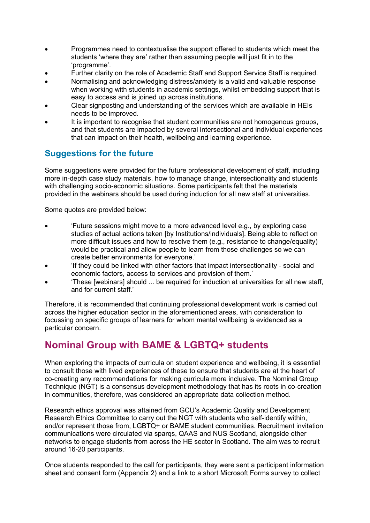- Programmes need to contextualise the support offered to students which meet the students 'where they are' rather than assuming people will just fit in to the 'programme'.
- Further clarity on the role of Academic Staff and Support Service Staff is required.
- Normalising and acknowledging distress/anxiety is a valid and valuable response when working with students in academic settings, whilst embedding support that is easy to access and is joined up across institutions.
- Clear signposting and understanding of the services which are available in HEIs needs to be improved.
- It is important to recognise that student communities are not homogenous groups, and that students are impacted by several intersectional and individual experiences that can impact on their health, wellbeing and learning experience.

# **Suggestions for the future**

Some suggestions were provided for the future professional development of staff, including more in-depth case study materials, how to manage change, intersectionality and students with challenging socio-economic situations. Some participants felt that the materials provided in the webinars should be used during induction for all new staff at universities.

Some quotes are provided below:

- 'Future sessions might move to a more advanced level e.g., by exploring case studies of actual actions taken [by Institutions/individuals]. Being able to reflect on more difficult issues and how to resolve them (e.g., resistance to change/equality) would be practical and allow people to learn from those challenges so we can create better environments for everyone.'
- 'If they could be linked with other factors that impact intersectionality social and economic factors, access to services and provision of them.'
- 'These [webinars] should ... be required for induction at universities for all new staff, and for current staff.'

Therefore, it is recommended that continuing professional development work is carried out across the higher education sector in the aforementioned areas, with consideration to focussing on specific groups of learners for whom mental wellbeing is evidenced as a particular concern.

# **Nominal Group with BAME & LGBTQ+ students**

When exploring the impacts of curricula on student experience and wellbeing, it is essential to consult those with lived experiences of these to ensure that students are at the heart of co-creating any recommendations for making curricula more inclusive. The Nominal Group Technique (NGT) is a consensus development methodology that has its roots in co-creation in communities, therefore, was considered an appropriate data collection method.

Research ethics approval was attained from GCU's Academic Quality and Development Research Ethics Committee to carry out the NGT with students who self-identify within, and/or represent those from, LGBTQ+ or BAME student communities. Recruitment invitation communications were circulated via sparqs, QAAS and NUS Scotland, alongside other networks to engage students from across the HE sector in Scotland. The aim was to recruit around 16-20 participants.

Once students responded to the call for participants, they were sent a participant information sheet and consent form (Appendix 2) and a link to a short Microsoft Forms survey to collect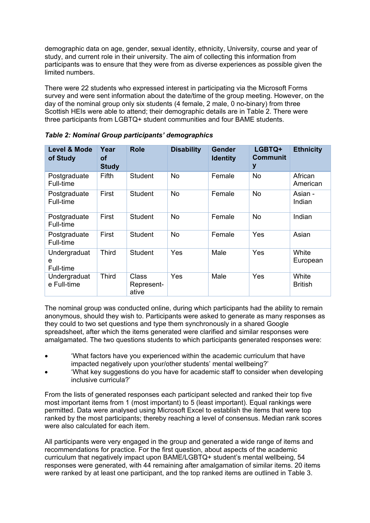demographic data on age, gender, sexual identity, ethnicity, University, course and year of study, and current role in their university. The aim of collecting this information from participants was to ensure that they were from as diverse experiences as possible given the limited numbers.

There were 22 students who expressed interest in participating via the Microsoft Forms survey and were sent information about the date/time of the group meeting. However, on the day of the nominal group only six students (4 female, 2 male, 0 no-binary) from three Scottish HEIs were able to attend; their demographic details are in Table 2. There were three participants from LGBTQ+ student communities and four BAME students.

| <b>Level &amp; Mode</b><br>of Study | Year<br>οf<br><b>Study</b> | <b>Role</b>                  | <b>Disability</b> | <b>Gender</b><br><b>Identity</b> | LGBTQ+<br><b>Communit</b><br>y | <b>Ethnicity</b>        |
|-------------------------------------|----------------------------|------------------------------|-------------------|----------------------------------|--------------------------------|-------------------------|
| Postgraduate<br>Full-time           | <b>Fifth</b>               | Student                      | <b>No</b>         | Female                           | No                             | African<br>American     |
| Postgraduate<br>Full-time           | First                      | <b>Student</b>               | <b>No</b>         | Female                           | <b>No</b>                      | Asian -<br>Indian       |
| Postgraduate<br>Full-time           | First                      | <b>Student</b>               | <b>No</b>         | Female                           | <b>No</b>                      | Indian                  |
| Postgraduate<br>Full-time           | First                      | <b>Student</b>               | No                | Female                           | Yes                            | Asian                   |
| Undergraduat<br>e<br>Full-time      | <b>Third</b>               | <b>Student</b>               | Yes               | Male                             | Yes                            | White<br>European       |
| Undergraduat<br>e Full-time         | <b>Third</b>               | Class<br>Represent-<br>ative | Yes               | Male                             | Yes                            | White<br><b>British</b> |

*Table 2: Nominal Group participants' demographics*

The nominal group was conducted online, during which participants had the ability to remain anonymous, should they wish to. Participants were asked to generate as many responses as they could to two set questions and type them synchronously in a shared Google spreadsheet, after which the items generated were clarified and similar responses were amalgamated. The two questions students to which participants generated responses were:

- 'What factors have you experienced within the academic curriculum that have impacted negatively upon your/other students' mental wellbeing?'
- 'What key suggestions do you have for academic staff to consider when developing inclusive curricula?'

From the lists of generated responses each participant selected and ranked their top five most important items from 1 (most important) to 5 (least important). Equal rankings were permitted. Data were analysed using Microsoft Excel to establish the items that were top ranked by the most participants; thereby reaching a level of consensus. Median rank scores were also calculated for each item.

All participants were very engaged in the group and generated a wide range of items and recommendations for practice. For the first question, about aspects of the academic curriculum that negatively impact upon BAME/LGBTQ+ student's mental wellbeing, 54 responses were generated, with 44 remaining after amalgamation of similar items. 20 items were ranked by at least one participant, and the top ranked items are outlined in Table 3.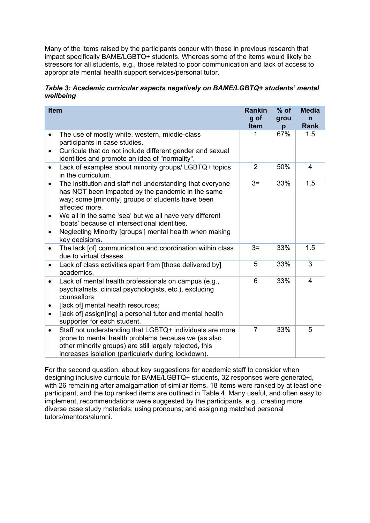Many of the items raised by the participants concur with those in previous research that impact specifically BAME/LGBTQ+ students. Whereas some of the items would likely be stressors for all students, e.g., those related to poor communication and lack of access to appropriate mental health support services/personal tutor.

*Table 3: Academic curricular aspects negatively on BAME/LGBTQ+ students' mental wellbeing*

| <b>Item</b>            |                                                                                                                                                                                                                                                                                                                                                                                | <b>Rankin</b>  | $%$ of | <b>Media</b>   |
|------------------------|--------------------------------------------------------------------------------------------------------------------------------------------------------------------------------------------------------------------------------------------------------------------------------------------------------------------------------------------------------------------------------|----------------|--------|----------------|
|                        |                                                                                                                                                                                                                                                                                                                                                                                | g of           | grou   | n              |
|                        |                                                                                                                                                                                                                                                                                                                                                                                | <b>Item</b>    | р      | <b>Rank</b>    |
| $\bullet$              | The use of mostly white, western, middle-class<br>participants in case studies.                                                                                                                                                                                                                                                                                                | 1              | 67%    | 1.5            |
| $\bullet$              | Curricula that do not include different gender and sexual<br>identities and promote an idea of "normality".                                                                                                                                                                                                                                                                    |                |        |                |
| $\bullet$              | Lack of examples about minority groups/ LGBTQ+ topics<br>in the curriculum.                                                                                                                                                                                                                                                                                                    | $\overline{2}$ | 50%    | $\overline{4}$ |
| $\bullet$<br>٠         | The institution and staff not understanding that everyone<br>has NOT been impacted by the pandemic in the same<br>way; some [minority] groups of students have been<br>affected more.<br>We all in the same 'sea' but we all have very different<br>'boats' because of intersectional identities.<br>Neglecting Minority [groups'] mental health when making<br>key decisions. | $3=$           | 33%    | 1.5            |
| $\bullet$              | The lack [of] communication and coordination within class<br>due to virtual classes.                                                                                                                                                                                                                                                                                           | $3=$           | 33%    | 1.5            |
| $\bullet$              | Lack of class activities apart from [those delivered by]<br>academics.                                                                                                                                                                                                                                                                                                         | 5              | 33%    | 3              |
| $\bullet$<br>$\bullet$ | Lack of mental health professionals on campus (e.g.,<br>psychiatrists, clinical psychologists, etc.), excluding<br>counsellors<br>[lack of] mental health resources;<br>[lack of] assign[ing] a personal tutor and mental health<br>supporter for each student.                                                                                                                | 6              | 33%    | 4              |
| $\bullet$              | Staff not understanding that LGBTQ+ individuals are more<br>prone to mental health problems because we (as also<br>other minority groups) are still largely rejected, this<br>increases isolation (particularly during lockdown).                                                                                                                                              | $\overline{7}$ | 33%    | 5              |

For the second question, about key suggestions for academic staff to consider when designing inclusive curricula for BAME/LGBTQ+ students, 32 responses were generated, with 26 remaining after amalgamation of similar items. 18 items were ranked by at least one participant, and the top ranked items are outlined in Table 4. Many useful, and often easy to implement, recommendations were suggested by the participants, e.g., creating more diverse case study materials; using pronouns; and assigning matched personal tutors/mentors/alumni.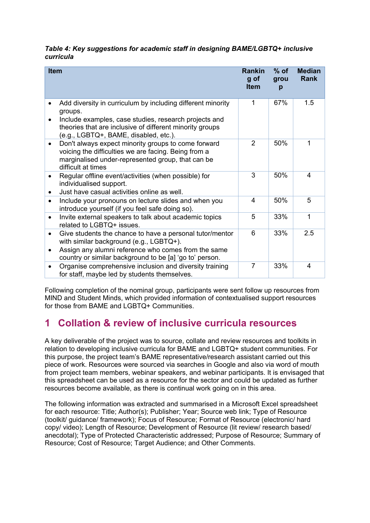#### *Table 4: Key suggestions for academic staff in designing BAME/LGBTQ+ inclusive curricula*

| <b>Item</b>            |                                                                                                                                                                                                                                      | <b>Rankin</b><br>g of<br><b>Item</b> | $%$ of<br>grou<br>р | <b>Median</b><br><b>Rank</b> |
|------------------------|--------------------------------------------------------------------------------------------------------------------------------------------------------------------------------------------------------------------------------------|--------------------------------------|---------------------|------------------------------|
| $\bullet$              | Add diversity in curriculum by including different minority<br>groups.<br>Include examples, case studies, research projects and<br>theories that are inclusive of different minority groups<br>(e.g., LGBTQ+, BAME, disabled, etc.). | 1                                    | 67%                 | 1.5                          |
| $\bullet$              | Don't always expect minority groups to come forward<br>voicing the difficulties we are facing. Being from a<br>marginalised under-represented group, that can be<br>difficult at times                                               | $\overline{2}$                       | 50%                 | 1                            |
| $\bullet$<br>$\bullet$ | Regular offline event/activities (when possible) for<br>individualised support.<br>Just have casual activities online as well.                                                                                                       | 3                                    | 50%                 | 4                            |
| $\bullet$              | Include your pronouns on lecture slides and when you<br>introduce yourself (if you feel safe doing so).                                                                                                                              | 4                                    | 50%                 | 5                            |
| $\bullet$              | Invite external speakers to talk about academic topics<br>related to LGBTQ+ issues.                                                                                                                                                  | 5                                    | 33%                 | 1                            |
| $\bullet$              | Give students the chance to have a personal tutor/mentor<br>with similar background (e.g., LGBTQ+).<br>Assign any alumni reference who comes from the same<br>country or similar background to be [a] 'go to' person.                | 6                                    | 33%                 | 2.5                          |
|                        | Organise comprehensive inclusion and diversity training<br>for staff, maybe led by students themselves.                                                                                                                              | $\overline{7}$                       | 33%                 | 4                            |

Following completion of the nominal group, participants were sent follow up resources from MIND and Student Minds, which provided information of contextualised support resources for those from BAME and LGBTQ+ Communities

# **1 Collation & review of inclusive curricula resources**

A key deliverable of the project was to source, collate and review resources and toolkits in relation to developing inclusive curricula for BAME and LGBTQ+ student communities. For this purpose, the project team's BAME representative/research assistant carried out this piece of work. Resources were sourced via searches in Google and also via word of mouth from project team members, webinar speakers, and webinar participants. It is envisaged that this spreadsheet can be used as a resource for the sector and could be updated as further resources become available, as there is continual work going on in this area.

The following information was extracted and summarised in a Microsoft Excel spreadsheet for each resource: Title; Author(s); Publisher; Year; Source web link; Type of Resource (toolkit/ guidance/ framework); Focus of Resource; Format of Resource (electronic/ hard copy/ video); Length of Resource; Development of Resource (lit review/ research based/ anecdotal); Type of Protected Characteristic addressed; Purpose of Resource; Summary of Resource; Cost of Resource; Target Audience; and Other Comments.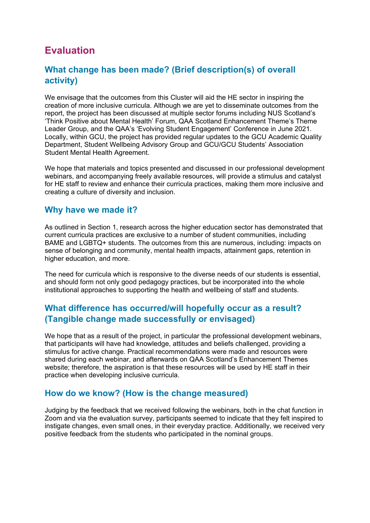# **Evaluation**

### **What change has been made? (Brief description(s) of overall activity)**

We envisage that the outcomes from this Cluster will aid the HE sector in inspiring the creation of more inclusive curricula. Although we are yet to disseminate outcomes from the report, the project has been discussed at multiple sector forums including NUS Scotland's 'Think Positive about Mental Health' Forum, QAA Scotland Enhancement Theme's Theme Leader Group, and the QAA's 'Evolving Student Engagement' Conference in June 2021. Locally, within GCU, the project has provided regular updates to the GCU Academic Quality Department, Student Wellbeing Advisory Group and GCU/GCU Students' Association Student Mental Health Agreement.

We hope that materials and topics presented and discussed in our professional development webinars, and accompanying freely available resources, will provide a stimulus and catalyst for HE staff to review and enhance their curricula practices, making them more inclusive and creating a culture of diversity and inclusion.

### **Why have we made it?**

As outlined in Section 1, research across the higher education sector has demonstrated that current curricula practices are exclusive to a number of student communities, including BAME and LGBTQ+ students. The outcomes from this are numerous, including: impacts on sense of belonging and community, mental health impacts, attainment gaps, retention in higher education, and more.

The need for curricula which is responsive to the diverse needs of our students is essential, and should form not only good pedagogy practices, but be incorporated into the whole institutional approaches to supporting the health and wellbeing of staff and students.

### **What difference has occurred/will hopefully occur as a result? (Tangible change made successfully or envisaged)**

We hope that as a result of the project, in particular the professional development webinars, that participants will have had knowledge, attitudes and beliefs challenged, providing a stimulus for active change. Practical recommendations were made and resources were shared during each webinar, and afterwards on QAA Scotland's Enhancement Themes website; therefore, the aspiration is that these resources will be used by HE staff in their practice when developing inclusive curricula.

### **How do we know? (How is the change measured)**

Judging by the feedback that we received following the webinars, both in the chat function in Zoom and via the evaluation survey, participants seemed to indicate that they felt inspired to instigate changes, even small ones, in their everyday practice. Additionally, we received very positive feedback from the students who participated in the nominal groups.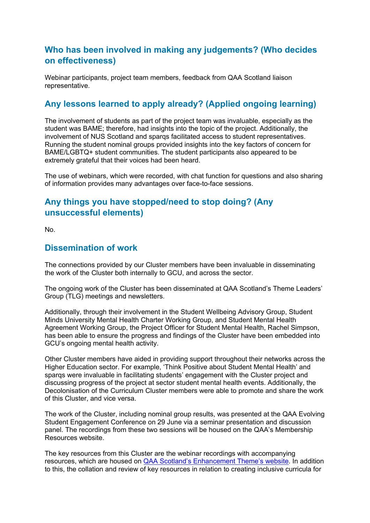# **Who has been involved in making any judgements? (Who decides on effectiveness)**

Webinar participants, project team members, feedback from QAA Scotland liaison representative.

### **Any lessons learned to apply already? (Applied ongoing learning)**

The involvement of students as part of the project team was invaluable, especially as the student was BAME; therefore, had insights into the topic of the project. Additionally, the involvement of NUS Scotland and sparqs facilitated access to student representatives. Running the student nominal groups provided insights into the key factors of concern for BAME/LGBTQ+ student communities. The student participants also appeared to be extremely grateful that their voices had been heard.

The use of webinars, which were recorded, with chat function for questions and also sharing of information provides many advantages over face-to-face sessions.

# **Any things you have stopped/need to stop doing? (Any unsuccessful elements)**

No.

### **Dissemination of work**

The connections provided by our Cluster members have been invaluable in disseminating the work of the Cluster both internally to GCU, and across the sector.

The ongoing work of the Cluster has been disseminated at QAA Scotland's Theme Leaders' Group (TLG) meetings and newsletters.

Additionally, through their involvement in the Student Wellbeing Advisory Group, Student Minds University Mental Health Charter Working Group, and Student Mental Health Agreement Working Group, the Project Officer for Student Mental Health, Rachel Simpson, has been able to ensure the progress and findings of the Cluster have been embedded into GCU's ongoing mental health activity.

Other Cluster members have aided in providing support throughout their networks across the Higher Education sector. For example, 'Think Positive about Student Mental Health' and sparqs were invaluable in facilitating students' engagement with the Cluster project and discussing progress of the project at sector student mental health events. Additionally, the Decolonisation of the Curriculum Cluster members were able to promote and share the work of this Cluster, and vice versa.

The work of the Cluster, including nominal group results, was presented at the QAA Evolving Student Engagement Conference on 29 June via a seminar presentation and discussion panel. The recordings from these two sessions will be housed on the QAA's Membership Resources website.

The key resources from this Cluster are the webinar recordings with accompanying resources, which are housed on [QAA Scotland's Enhancement Theme's website.](https://www.enhancementthemes.ac.uk/resilient-learning-communities/collaborative-clusters/student-mental-wellbeing-within-our-bame-and-lgbtq-learner-communities) In addition to this, the collation and review of key resources in relation to creating inclusive curricula for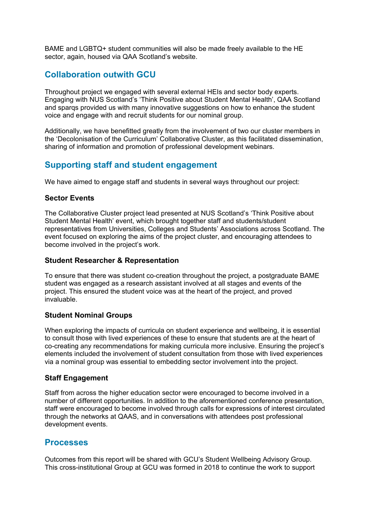BAME and LGBTQ+ student communities will also be made freely available to the HE sector, again, housed via QAA Scotland's website.

### **Collaboration outwith GCU**

Throughout project we engaged with several external HEIs and sector body experts. Engaging with NUS Scotland's 'Think Positive about Student Mental Health', QAA Scotland and sparqs provided us with many innovative suggestions on how to enhance the student voice and engage with and recruit students for our nominal group.

Additionally, we have benefitted greatly from the involvement of two our cluster members in the 'Decolonisation of the Curriculum' Collaborative Cluster, as this facilitated dissemination, sharing of information and promotion of professional development webinars.

### **Supporting staff and student engagement**

We have aimed to engage staff and students in several ways throughout our project:

#### **Sector Events**

The Collaborative Cluster project lead presented at NUS Scotland's 'Think Positive about Student Mental Health' event, which brought together staff and students/student representatives from Universities, Colleges and Students' Associations across Scotland. The event focused on exploring the aims of the project cluster, and encouraging attendees to become involved in the project's work.

#### **Student Researcher & Representation**

To ensure that there was student co-creation throughout the project, a postgraduate BAME student was engaged as a research assistant involved at all stages and events of the project. This ensured the student voice was at the heart of the project, and proved invaluable.

#### **Student Nominal Groups**

When exploring the impacts of curricula on student experience and wellbeing, it is essential to consult those with lived experiences of these to ensure that students are at the heart of co-creating any recommendations for making curricula more inclusive. Ensuring the project's elements included the involvement of student consultation from those with lived experiences via a nominal group was essential to embedding sector involvement into the project.

#### **Staff Engagement**

Staff from across the higher education sector were encouraged to become involved in a number of different opportunities. In addition to the aforementioned conference presentation, staff were encouraged to become involved through calls for expressions of interest circulated through the networks at QAAS, and in conversations with attendees post professional development events.

#### **Processes**

Outcomes from this report will be shared with GCU's Student Wellbeing Advisory Group. This cross-institutional Group at GCU was formed in 2018 to continue the work to support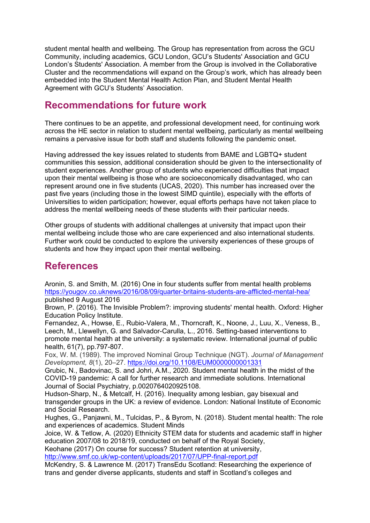student mental health and wellbeing. The Group has representation from across the GCU Community, including academics, GCU London, GCU's Students' Association and GCU London's Students' Association. A member from the Group is involved in the Collaborative Cluster and the recommendations will expand on the Group's work, which has already been embedded into the Student Mental Health Action Plan, and Student Mental Health Agreement with GCU's Students' Association.

# **Recommendations for future work**

There continues to be an appetite, and professional development need, for continuing work across the HE sector in relation to student mental wellbeing, particularly as mental wellbeing remains a pervasive issue for both staff and students following the pandemic onset.

Having addressed the key issues related to students from BAME and LGBTQ+ student communities this session, additional consideration should be given to the intersectionality of student experiences. Another group of students who experienced difficulties that impact upon their mental wellbeing is those who are socioeconomically disadvantaged, who can represent around one in five students (UCAS, 2020). This number has increased over the past five years (including those in the lowest SIMD quintile), especially with the efforts of Universities to widen participation; however, equal efforts perhaps have not taken place to address the mental wellbeing needs of these students with their particular needs.

Other groups of students with additional challenges at university that impact upon their mental wellbeing include those who are care experienced and also international students. Further work could be conducted to explore the university experiences of these groups of students and how they impact upon their mental wellbeing.

# **References**

Aronin, S. and Smith, M. (2016) One in four students suffer from mental health problems <https://yougov.co.uknews/2016/08/09/quarter-britains-students-are-afflicted-mental-hea/> published 9 August 2016

Brown, P. (2016). The Invisible Problem?: improving students' mental health. Oxford: Higher Education Policy Institute.

Fernandez, A., Howse, E., Rubio-Valera, M., Thorncraft, K., Noone, J., Luu, X., Veness, B., Leech, M., Llewellyn, G. and Salvador-Carulla, L., 2016. Setting-based interventions to promote mental health at the university: a systematic review. International journal of public health, 61(7), pp.797-807.

Fox, W. M. (1989). The improved Nominal Group Technique (NGT). *Journal of Management Development, 8*(1), 20–27. [https://doi.org/10.1108/EUM0000000001331](https://psycnet.apa.org/doi/10.1108/EUM0000000001331)

Grubic, N., Badovinac, S. and Johri, A.M., 2020. Student mental health in the midst of the COVID-19 pandemic: A call for further research and immediate solutions. International Journal of Social Psychiatry, p.0020764020925108.

Hudson-Sharp, N., & Metcalf, H. (2016). Inequality among lesbian, gay bisexual and transgender groups in the UK: a review of evidence. London: National Institute of Economic and Social Research.

Hughes, G., Panjawni, M., Tulcidas, P., & Byrom, N. (2018). Student mental health: The role and experiences of academics. Student Minds

Joice, W. & Tetlow, A. (2020) Ethnicity STEM data for students and academic staff in higher education 2007/08 to 2018/19, conducted on behalf of the Royal Society,

Keohane (2017) On course for success? Student retention at university, <http://www.smf.co.uk/wp-content/uploads/2017/07/UPP-final-report.pdf>

McKendry, S. & Lawrence M. (2017) TransEdu Scotland: Researching the experience of trans and gender diverse applicants, students and staff in Scotland's colleges and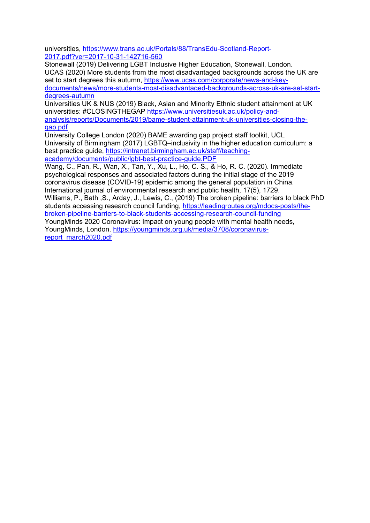universities, [https://www.trans.ac.uk/Portals/88/TransEdu-Scotland-Report-](https://www.trans.ac.uk/Portals/88/TransEdu-Scotland-Report-2017.pdf?ver=2017-10-31-142716-560)[2017.pdf?ver=2017-10-31-142716-560](https://www.trans.ac.uk/Portals/88/TransEdu-Scotland-Report-2017.pdf?ver=2017-10-31-142716-560)

Stonewall (2019) Delivering LGBT Inclusive Higher Education, Stonewall, London. UCAS (2020) More students from the most disadvantaged backgrounds across the UK are set to start degrees this autumn, [https://www.ucas.com/corporate/news-and-key](https://www.ucas.com/corporate/news-and-key-documents/news/more-students-most-disadvantaged-backgrounds-across-uk-are-set-start-degrees-autumn)[documents/news/more-students-most-disadvantaged-backgrounds-across-uk-are-set-start](https://www.ucas.com/corporate/news-and-key-documents/news/more-students-most-disadvantaged-backgrounds-across-uk-are-set-start-degrees-autumn)[degrees-autumn](https://www.ucas.com/corporate/news-and-key-documents/news/more-students-most-disadvantaged-backgrounds-across-uk-are-set-start-degrees-autumn)

Universities UK & NUS (2019) Black, Asian and Minority Ethnic student attainment at UK universities: #CLOSINGTHEGAP [https://www.universitiesuk.ac.uk/policy-and](https://www.universitiesuk.ac.uk/policy-and-analysis/reports/Documents/2019/bame-student-attainment-uk-universities-closing-the-gap.pdf)[analysis/reports/Documents/2019/bame-student-attainment-uk-universities-closing-the](https://www.universitiesuk.ac.uk/policy-and-analysis/reports/Documents/2019/bame-student-attainment-uk-universities-closing-the-gap.pdf)[gap.pdf](https://www.universitiesuk.ac.uk/policy-and-analysis/reports/Documents/2019/bame-student-attainment-uk-universities-closing-the-gap.pdf)

University College London (2020) BAME awarding gap project staff toolkit, UCL University of Birmingham (2017) LGBTQ–inclusivity in the higher education curriculum: a best practice guide, [https://intranet.birmingham.ac.uk/staff/teaching](https://intranet.birmingham.ac.uk/staff/teaching-academy/documents/public/lgbt-best-practice-guide.PDF)[academy/documents/public/lgbt-best-practice-guide.PDF](https://intranet.birmingham.ac.uk/staff/teaching-academy/documents/public/lgbt-best-practice-guide.PDF)

Wang, C., Pan, R., Wan, X., Tan, Y., Xu, L., Ho, C. S., & Ho, R. C. (2020). Immediate psychological responses and associated factors during the initial stage of the 2019 coronavirus disease (COVID-19) epidemic among the general population in China. International journal of environmental research and public health, 17(5), 1729. Williams, P., Bath ,S., Arday, J., Lewis, C., (2019) The broken pipeline: barriers to black PhD

students accessing research council funding, [https://leadingroutes.org/mdocs-posts/the](https://leadingroutes.org/mdocs-posts/the-broken-pipeline-barriers-to-black-students-accessing-research-council-funding)[broken-pipeline-barriers-to-black-students-accessing-research-council-funding](https://leadingroutes.org/mdocs-posts/the-broken-pipeline-barriers-to-black-students-accessing-research-council-funding)

YoungMinds 2020 Coronavirus: Impact on young people with mental health needs, YoungMinds, London. [https://youngminds.org.uk/media/3708/coronavirus](https://youngminds.org.uk/media/3708/coronavirus-report_march2020.pdf)[report\\_march2020.pdf](https://youngminds.org.uk/media/3708/coronavirus-report_march2020.pdf)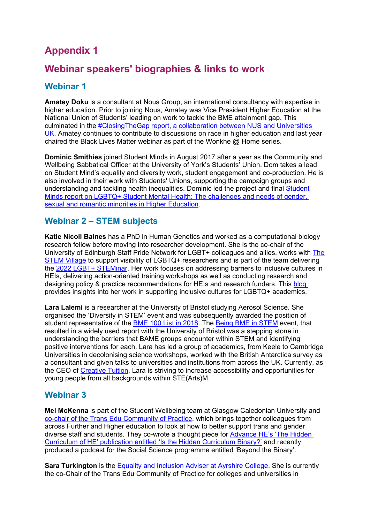# **Appendix 1**

# **Webinar speakers' biographies & links to work**

# **Webinar 1**

**Amatey Doku** is a consultant at Nous Group, an international consultancy with expertise in higher education. Prior to joining Nous, Amatey was Vice President Higher Education at the National Union of Students' leading on work to tackle the BME attainment gap. This culminated in the [#ClosingTheGap report, a collaboration between NUS and Universities](https://www.universitiesuk.ac.uk/policy-and-analysis/reports/Pages/bame-student-attainment-uk-universities-closing-the-gap.aspx)  [UK.](https://www.universitiesuk.ac.uk/policy-and-analysis/reports/Pages/bame-student-attainment-uk-universities-closing-the-gap.aspx) Amatey continues to contribute to discussions on race in higher education and last year chaired the Black Lives Matter webinar as part of the Wonkhe  $\omega$  Home series.

**Dominic Smithies** joined Student Minds in August 2017 after a year as the Community and Wellbeing Sabbatical Officer at the University of York's Students' Union. Dom takes a lead on Student Mind's equality and diversity work, student engagement and co-production. He is also involved in their work with Students' Unions, supporting the campaign groups and understanding and tackling health inequalities. Dominic led the project and final [Student](https://www.studentminds.org.uk/lgbtqresearch.html)  [Minds report on LGBTQ+ Student Mental Health: The challenges and needs of gender,](https://www.studentminds.org.uk/lgbtqresearch.html)  [sexual and romantic minorities in Higher Education.](https://www.studentminds.org.uk/lgbtqresearch.html)

### **Webinar 2 – STEM subjects**

**Katie Nicoll Baines** has a PhD in Human Genetics and worked as a computational biology research fellow before moving into researcher development. She is the co-chair of the University of Edinburgh Staff Pride Network for LGBT+ colleagues and allies, works with [The](https://twitter.com/thestemvillage?lang=en)  [STEM Village](https://twitter.com/thestemvillage?lang=en) to support visibility of LGBTQ+ researchers and is part of the team delivering the [2022 LGBT+ STEMinar.](https://lgbtstem.wordpress.com/lgbtq-steminar-2022/) Her work focuses on addressing barriers to inclusive cultures in HEIs, delivering action-oriented training workshops as well as conducting research and designing policy & practice recommendations for HEIs and research funders. This [blog](https://evidencebase.org.uk/2021/01/07/it-takes-a-village/)  provides insights into her work in supporting inclusive cultures for LGBTQ+ academics.

**Lara Lalemi** is a researcher at the University of Bristol studying Aerosol Science. She organised the 'Diversity in STEM' event and was subsequently awarded the position of student representative of the [BME 100 List in 2018.](https://epigram.org.uk/2018/10/01/bme-power-list/) The [Being BME in STEM](http://www.bris.ac.uk/media-library/sites/chemistry/documents/Final%20Report%20on%20BME%20in%20STEM.pdf) event, that resulted in a widely used report with the University of Bristol was a stepping stone in understanding the barriers that BAME groups encounter within STEM and identifying positive interventions for each. Lara has led a group of academics, from Keele to Cambridge Universities in decolonising science workshops, worked with the British Antarctica survey as a consultant and given talks to universities and institutions from across the UK. Currently, as the CEO of [Creative Tuition,](https://www.creativetuitioncollective.com/) Lara is striving to increase accessibility and opportunities for young people from all backgrounds within STE(Arts)M.

### **Webinar 3**

**Mel McKenna** is part of the Student Wellbeing team at Glasgow Caledonian University and [co-chair of the Trans Edu Community of Practice,](https://www.trans.ac.uk/Home/tabid/6323/Default.aspx) which brings together colleagues from across Further and Higher education to look at how to better support trans and gender diverse staff and students. They co-wrote a thought piece for [Advance HE's 'The Hidden](https://www.advance-he.ac.uk/knowledge-hub/hidden-curriculum-higher-education)  [Curriculum of HE' publication entitled 'Is the Hidden Curriculum Binary?'](https://www.advance-he.ac.uk/knowledge-hub/hidden-curriculum-higher-education) and recently produced a podcast for the Social Science programme entitled 'Beyond the Binary'.

**Sara Turkington** is the [Equality and Inclusion Adviser at Ayrshire College.](https://www1.ayrshire.ac.uk/about-us/equality-and-inclusion/) She is currently the co-Chair of the Trans Edu Community of Practice for colleges and universities in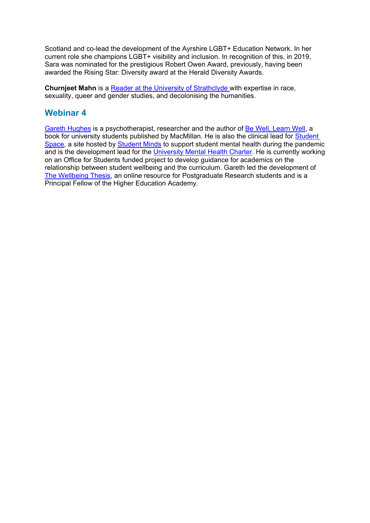Scotland and co-lead the development of the Ayrshire LGBT+ Education Network. In her current role she champions LGBT+ visibility and inclusion. In recognition of this, in 2019, Sara was nominated for the prestigious Robert Owen Award, previously, having been awarded the Rising Star: Diversity award at the Herald Diversity Awards.

**Churnjeet Mahn** is a [Reader at the University of Strathclyde w](https://www.strath.ac.uk/staff/mahnchurnjeetdr/)ith expertise in race, sexuality, queer and gender studies, and decolonising the humanities.

### **Webinar 4**

[Gareth Hughes](https://bewelllearnwell.com/) is a psychotherapist, researcher and the author of [Be Well, Learn Well,](https://www.macmillanihe.com/page/detail/Be-Well-Learn-Well/?K=9781352010695) a book for university students published by MacMillan. He is also the clinical lead for **Student** [Space,](https://studentspace.org.uk/) a site hosted by [Student Minds](https://www.studentminds.org.uk/) to support student mental health during the pandemic and is the development lead for the [University Mental Health Charter.](https://universitymentalhealthcharter.org.uk/) He is currently working on an Office for Students funded project to develop guidance for academics on the relationship between student wellbeing and the curriculum. Gareth led the development of [The Wellbeing Thesis,](https://thewellbeingthesis.org.uk/) an online resource for Postgraduate Research students and is a Principal Fellow of the Higher Education Academy.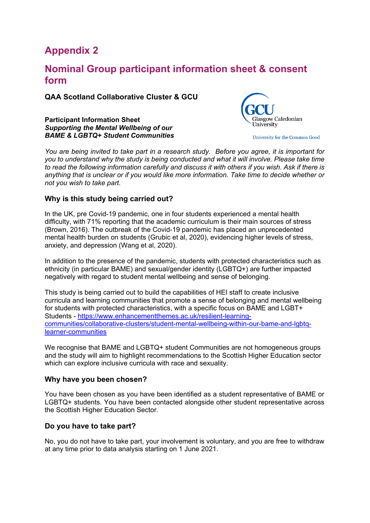# **Appendix 2**

# **Nominal Group participant information sheet & consent form**

**QAA Scotland Collaborative Cluster & GCU**

**Participant Information Sheet** *Supporting the Mental Wellbeing of our BAME & LGBTQ+ Student Communities* 



University for the Common Good

*You are being invited to take part in a research study. Before you agree, it is important for you to understand why the study is being conducted and what it will involve. Please take time to read the following information carefully and discuss it with others if you wish. Ask if there is anything that is unclear or if you would like more information. Take time to decide whether or not you wish to take part.*

#### **Why is this study being carried out?**

In the UK, pre Covid-19 pandemic, one in four students experienced a mental health difficulty, with 71% reporting that the academic curriculum is their main sources of stress (Brown, 2016). The outbreak of the Covid-19 pandemic has placed an unprecedented mental health burden on students (Grubic et al, 2020), evidencing higher levels of stress, anxiety, and depression (Wang et al, 2020).

In addition to the presence of the pandemic, students with protected characteristics such as ethnicity (in particular BAME) and sexual/gender identity (LGBTQ+) are further impacted negatively with regard to student mental wellbeing and sense of belonging.

This study is being carried out to build the capabilities of HEI staff to create inclusive curricula and learning communities that promote a sense of belonging and mental wellbeing for students with protected characteristics, with a specific focus on BAME and LGBT+ Students - [https://www.enhancementthemes.ac.uk/resilient-learning](https://www.enhancementthemes.ac.uk/resilient-learning-communities/collaborative-clusters/student-mental-wellbeing-within-our-bame-and-lgbtq-learner-communities)[communities/collaborative-clusters/student-mental-wellbeing-within-our-bame-and-lgbtq](https://www.enhancementthemes.ac.uk/resilient-learning-communities/collaborative-clusters/student-mental-wellbeing-within-our-bame-and-lgbtq-learner-communities)[learner-communities](https://www.enhancementthemes.ac.uk/resilient-learning-communities/collaborative-clusters/student-mental-wellbeing-within-our-bame-and-lgbtq-learner-communities)

We recognise that BAME and LGBTQ+ student Communities are not homogeneous groups and the study will aim to highlight recommendations to the Scottish Higher Education sector which can explore inclusive curricula with race and sexuality.

#### **Why have you been chosen?**

You have been chosen as you have been identified as a student representative of BAME or LGBTQ+ students. You have been contacted alongside other student representative across the Scottish Higher Education Sector.

#### **Do you have to take part?**

No, you do not have to take part, your involvement is voluntary, and you are free to withdraw at any time prior to data analysis starting on 1 June 2021.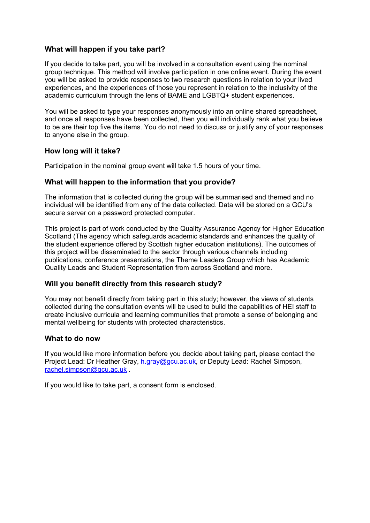#### **What will happen if you take part?**

If you decide to take part, you will be involved in a consultation event using the nominal group technique. This method will involve participation in one online event. During the event you will be asked to provide responses to two research questions in relation to your lived experiences, and the experiences of those you represent in relation to the inclusivity of the academic curriculum through the lens of BAME and LGBTQ+ student experiences.

You will be asked to type your responses anonymously into an online shared spreadsheet, and once all responses have been collected, then you will individually rank what you believe to be are their top five the items. You do not need to discuss or justify any of your responses to anyone else in the group.

#### **How long will it take?**

Participation in the nominal group event will take 1.5 hours of your time.

#### **What will happen to the information that you provide?**

The information that is collected during the group will be summarised and themed and no individual will be identified from any of the data collected. Data will be stored on a GCU's secure server on a password protected computer.

This project is part of work conducted by the Quality Assurance Agency for Higher Education Scotland (The agency which safeguards academic standards and enhances the quality of the student experience offered by Scottish higher education institutions). The outcomes of this project will be disseminated to the sector through various channels including publications, conference presentations, the Theme Leaders Group which has Academic Quality Leads and Student Representation from across Scotland and more.

#### **Will you benefit directly from this research study?**

You may not benefit directly from taking part in this study; however, the views of students collected during the consultation events will be used to build the capabilities of HEI staff to create inclusive curricula and learning communities that promote a sense of belonging and mental wellbeing for students with protected characteristics.

#### **What to do now**

If you would like more information before you decide about taking part, please contact the Project Lead: Dr Heather Gray, [h.gray@gcu.ac.uk](mailto:h.gray@gcu.ac.uk)*,* or Deputy Lead: Rachel Simpson, [rachel.simpson@gcu.ac.uk](mailto:rachel.simpson@gcu.ac.uk) *.* 

If you would like to take part, a consent form is enclosed.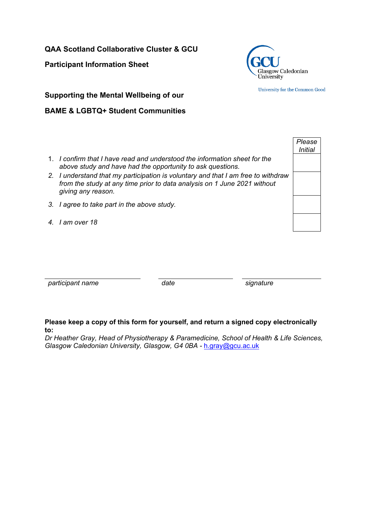**QAA Scotland Collaborative Cluster & GCU** 

**Participant Information Sheet**



University for the Common Good

*Please Initial*

**Supporting the Mental Wellbeing of our** 

### **BAME & LGBTQ+ Student Communities**

- 1. *I confirm that I have read and understood the information sheet for the above study and have had the opportunity to ask questions.*
- *2. I understand that my participation is voluntary and that I am free to withdraw from the study at any time prior to data analysis on 1 June 2021 without giving any reason.*
- *3. I agree to take part in the above study.*
- *4. I am over 18*

*participant name date signature*

#### **Please keep a copy of this form for yourself, and return a signed copy electronically to:**

*Dr Heather Gray, Head of Physiotherapy & Paramedicine, School of Health & Life Sciences, Glasgow Caledonian University, Glasgow, G4 0BA -* [h.gray@gcu.ac.uk](mailto:h.gray@gcu.ac.uk)